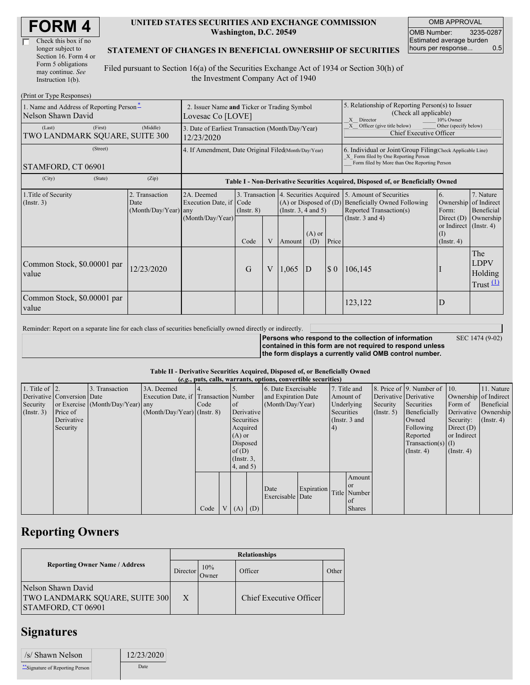| Check this box if no  |
|-----------------------|
| longer subject to     |
| Section 16. Form 4 or |
| Form 5 obligations    |
| may continue. See     |
| Instruction 1(b).     |

#### **UNITED STATES SECURITIES AND EXCHANGE COMMISSION Washington, D.C. 20549**

OMB APPROVAL OMB Number: 3235-0287 Estimated average burden hours per response... 0.5

### **STATEMENT OF CHANGES IN BENEFICIAL OWNERSHIP OF SECURITIES**

Filed pursuant to Section 16(a) of the Securities Exchange Act of 1934 or Section 30(h) of the Investment Company Act of 1940

| (Print or Type Responses)                                      |                                                                  |                                                                                  |                                           |   |                                                                              |                 |                                                                                                                                                    |                                                                                                                                                                |                                                         |                                                     |  |  |
|----------------------------------------------------------------|------------------------------------------------------------------|----------------------------------------------------------------------------------|-------------------------------------------|---|------------------------------------------------------------------------------|-----------------|----------------------------------------------------------------------------------------------------------------------------------------------------|----------------------------------------------------------------------------------------------------------------------------------------------------------------|---------------------------------------------------------|-----------------------------------------------------|--|--|
| 1. Name and Address of Reporting Person-<br>Nelson Shawn David | 2. Issuer Name and Ticker or Trading Symbol<br>Lovesac Co [LOVE] |                                                                                  |                                           |   |                                                                              |                 | 5. Relationship of Reporting Person(s) to Issuer<br>(Check all applicable)<br>X Director<br>10% Owner                                              |                                                                                                                                                                |                                                         |                                                     |  |  |
| (First)<br>(Last)<br>TWO LANDMARK SQUARE, SUITE 300            | 3. Date of Earliest Transaction (Month/Day/Year)<br>12/23/2020   |                                                                                  |                                           |   |                                                                              |                 | Officer (give title below)<br>Other (specify below)<br>Chief Executive Officer                                                                     |                                                                                                                                                                |                                                         |                                                     |  |  |
| (Street)<br>STAMFORD, CT 06901                                 | 4. If Amendment, Date Original Filed(Month/Day/Year)             |                                                                                  |                                           |   |                                                                              |                 | 6. Individual or Joint/Group Filing(Check Applicable Line)<br>X Form filed by One Reporting Person<br>Form filed by More than One Reporting Person |                                                                                                                                                                |                                                         |                                                     |  |  |
| (City)<br>(State)                                              | (Zip)                                                            | Table I - Non-Derivative Securities Acquired, Disposed of, or Beneficially Owned |                                           |   |                                                                              |                 |                                                                                                                                                    |                                                                                                                                                                |                                                         |                                                     |  |  |
| 1. Title of Security<br>(Insert. 3)                            | 2. Transaction<br>Date<br>$(Month/Day/Year)$ any                 | 2A. Deemed<br>Execution Date, if<br>(Month/Day/Year)                             | 3. Transaction<br>Code<br>$($ Instr. $8)$ |   | 4. Securities Acquired<br>$(A)$ or Disposed of $(D)$<br>(Insert. 3, 4 and 5) |                 |                                                                                                                                                    | 5. Amount of Securities<br>6.<br><b>Beneficially Owned Following</b><br>Ownership<br>Reported Transaction(s)<br>Form:<br>(Instr. $3$ and $4$ )<br>Direct $(D)$ |                                                         | 7. Nature<br>of Indirect<br>Beneficial<br>Ownership |  |  |
|                                                                |                                                                  |                                                                                  | Code                                      | V | Amount                                                                       | $(A)$ or<br>(D) | Price                                                                                                                                              |                                                                                                                                                                | or Indirect $($ Instr. 4 $)$<br>(I)<br>$($ Instr. 4 $)$ |                                                     |  |  |
| Common Stock, \$0.00001 par<br>value                           | 12/23/2020                                                       |                                                                                  | $\overline{G}$                            | V | 1,065                                                                        | D               | $\boldsymbol{\mathsf{S}}$ 0                                                                                                                        | 106,145                                                                                                                                                        |                                                         | The<br><b>LDPV</b><br>Holding<br>Trust $(1)$        |  |  |
| Common Stock, \$0.00001 par<br>value                           |                                                                  |                                                                                  |                                           |   |                                                                              |                 |                                                                                                                                                    | 123,122                                                                                                                                                        | D                                                       |                                                     |  |  |

Reminder: Report on a separate line for each class of securities beneficially owned directly or indirectly.

SEC 1474 (9-02)

**Persons who respond to the collection of information contained in this form are not required to respond unless the form displays a currently valid OMB control number.**

### **Table II - Derivative Securities Acquired, Disposed of, or Beneficially Owned**

| (e.g., puts, calls, warrants, options, convertible securities) |                            |                                  |                                       |      |                |                 |  |                     |                         |            |                 |                  |                              |                       |                      |
|----------------------------------------------------------------|----------------------------|----------------------------------|---------------------------------------|------|----------------|-----------------|--|---------------------|-------------------------|------------|-----------------|------------------|------------------------------|-----------------------|----------------------|
| 1. Title of $\vert$ 2.                                         |                            | 3. Transaction                   | 3A. Deemed                            |      |                |                 |  | 6. Date Exercisable |                         |            | 7. Title and    |                  | 8. Price of 9. Number of 10. |                       | 11. Nature           |
|                                                                | Derivative Conversion Date |                                  | Execution Date, if Transaction Number |      |                |                 |  | and Expiration Date |                         |            | Amount of       |                  | Derivative Derivative        | Ownership of Indirect |                      |
| Security                                                       |                            | or Exercise (Month/Day/Year) any |                                       | Code |                | <b>l</b> of     |  | (Month/Day/Year)    |                         |            | Underlying      | Security         | Securities                   | Form of               | Beneficial           |
| (Insert. 3)                                                    | Price of                   |                                  | $(Month/Day/Year)$ (Instr. 8)         |      |                | Derivative      |  |                     |                         | Securities |                 | $($ Instr. 5 $)$ | Beneficially                 |                       | Derivative Ownership |
|                                                                | Derivative                 |                                  |                                       |      |                | Securities      |  |                     |                         |            | (Instr. $3$ and |                  | Owned                        | Security:             | $($ Instr. 4 $)$     |
|                                                                | Security                   |                                  |                                       |      |                | Acquired        |  |                     |                         | (4)        |                 |                  | Following                    | Direct $(D)$          |                      |
|                                                                |                            |                                  |                                       |      |                | $(A)$ or        |  |                     |                         |            |                 |                  | Reported                     | or Indirect           |                      |
|                                                                |                            |                                  |                                       |      |                | Disposed        |  |                     |                         |            |                 |                  | $Transaction(s)$ (I)         |                       |                      |
|                                                                |                            |                                  |                                       |      |                | of $(D)$        |  |                     |                         |            |                 |                  | $($ Instr. 4 $)$             | $($ Instr. 4 $)$      |                      |
|                                                                |                            |                                  |                                       |      |                | $($ Instr. $3,$ |  |                     |                         |            |                 |                  |                              |                       |                      |
|                                                                |                            |                                  |                                       |      |                | 4, and 5)       |  |                     |                         |            |                 |                  |                              |                       |                      |
|                                                                |                            |                                  |                                       |      |                |                 |  |                     |                         |            | Amount          |                  |                              |                       |                      |
|                                                                |                            |                                  |                                       |      |                |                 |  |                     |                         |            |                 |                  |                              |                       |                      |
|                                                                |                            |                                  |                                       |      |                |                 |  | Date                | Expiration Title Number |            |                 |                  |                              |                       |                      |
|                                                                |                            |                                  |                                       |      |                |                 |  | Exercisable Date    |                         |            | of              |                  |                              |                       |                      |
|                                                                |                            |                                  |                                       | Code | V <sub>1</sub> | $(A)$ $(D)$     |  |                     |                         |            | <b>Shares</b>   |                  |                              |                       |                      |

## **Reporting Owners**

|                                                                                   | <b>Relationships</b> |              |                         |       |  |  |  |
|-----------------------------------------------------------------------------------|----------------------|--------------|-------------------------|-------|--|--|--|
| <b>Reporting Owner Name / Address</b>                                             | Director             | 10%<br>Owner | Officer                 | Other |  |  |  |
| Nelson Shawn David<br><b>TWO LANDMARK SQUARE, SUITE 300</b><br>STAMFORD, CT 06901 | X                    |              | Chief Executive Officer |       |  |  |  |

### **Signatures**

| /s/ Shawn Nelson                 | 12/23/2020 |
|----------------------------------|------------|
| ** Signature of Reporting Person | Date       |